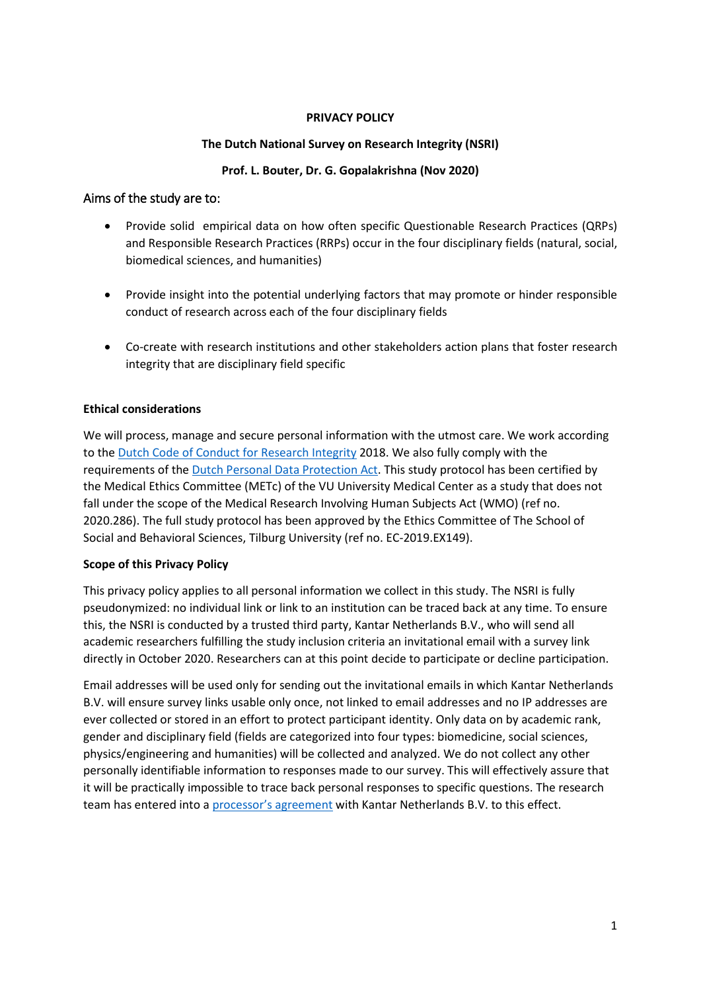# **PRIVACY POLICY**

# **The Dutch National Survey on Research Integrity (NSRI)**

# **Prof. L. Bouter, Dr. G. Gopalakrishna (Nov 2020)**

# Aims of the study are to:

- Provide solid empirical data on how often specific Questionable Research Practices (QRPs) and Responsible Research Practices (RRPs) occur in the four disciplinary fields (natural, social, biomedical sciences, and humanities)
- Provide insight into the potential underlying factors that may promote or hinder responsible conduct of research across each of the four disciplinary fields
- Co-create with research institutions and other stakeholders action plans that foster research integrity that are disciplinary field specific

# **Ethical considerations**

We will process, manage and secure personal information with the utmost care. We work according to the [Dutch Code of Conduct for Research Integrity](https://www.nwo.nl/en/policies/scientific+integrity+policy/netherlands+code+of+conduct+for+research+integrity) 2018. We also fully comply with the requirements of the [Dutch Personal Data Protection Act.](https://autoriteitpersoonsgegevens.nl/en) This study protocol has been certified by the Medical Ethics Committee (METc) of the VU University Medical Center as a study that does not fall under the scope of the Medical Research Involving Human Subjects Act (WMO) (ref no. 2020.286). The full study protocol has been approved by the Ethics Committee of The School of Social and Behavioral Sciences, Tilburg University (ref no. EC-2019.EX149).

# **Scope of this Privacy Policy**

This privacy policy applies to all personal information we collect in this study. The NSRI is fully pseudonymized: no individual link or link to an institution can be traced back at any time. To ensure this, the NSRI is conducted by a trusted third party, Kantar Netherlands B.V., who will send all academic researchers fulfilling the study inclusion criteria an invitational email with a survey link directly in October 2020. Researchers can at this point decide to participate or decline participation.

Email addresses will be used only for sending out the invitational emails in which Kantar Netherlands B.V. will ensure survey links usable only once, not linked to email addresses and no IP addresses are ever collected or stored in an effort to protect participant identity. Only data on by academic rank, gender and disciplinary field (fields are categorized into four types: biomedicine, social sciences, physics/engineering and humanities) will be collected and analyzed. We do not collect any other personally identifiable information to responses made to our survey. This will effectively assure that it will be practically impossible to trace back personal responses to specific questions. The research team has entered into a [processor's agreement](https://a315fa4d-eb5c-4c81-98ec-1c53280771f9.filesusr.com/ugd/15025d_984626f09ad049ffae2c844f07946076.pdf) with Kantar Netherlands B.V. to this effect.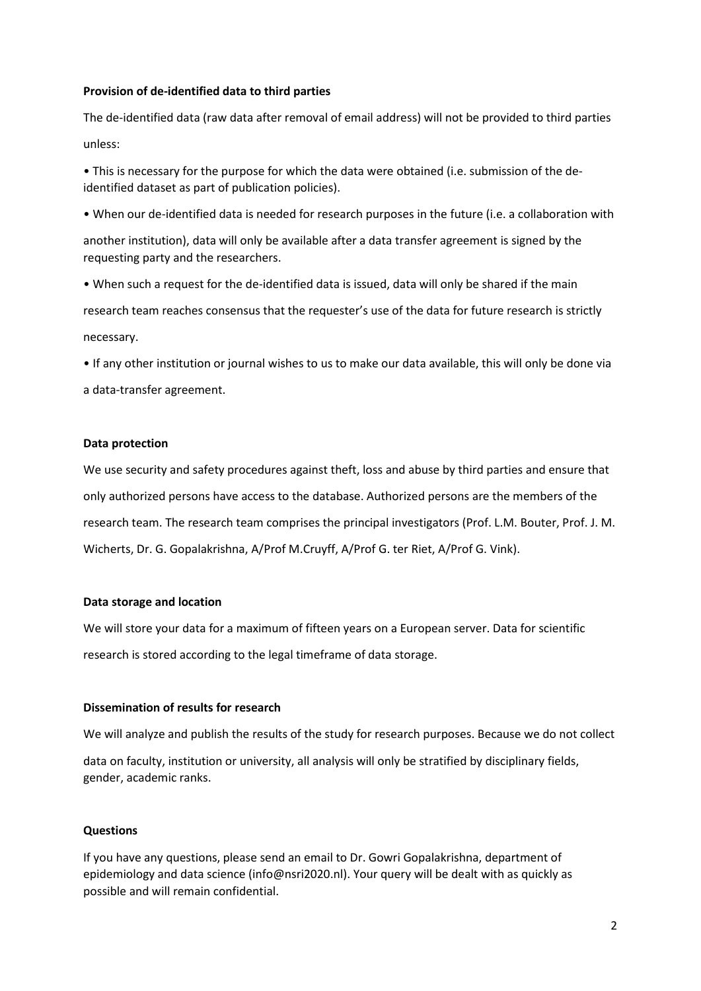#### **Provision of de-identified data to third parties**

The de-identified data (raw data after removal of email address) will not be provided to third parties unless:

• This is necessary for the purpose for which the data were obtained (i.e. submission of the deidentified dataset as part of publication policies).

• When our de-identified data is needed for research purposes in the future (i.e. a collaboration with

another institution), data will only be available after a data transfer agreement is signed by the requesting party and the researchers.

• When such a request for the de-identified data is issued, data will only be shared if the main research team reaches consensus that the requester's use of the data for future research is strictly necessary.

• If any other institution or journal wishes to us to make our data available, this will only be done via a data-transfer agreement.

# **Data protection**

We use security and safety procedures against theft, loss and abuse by third parties and ensure that only authorized persons have access to the database. Authorized persons are the members of the research team. The research team comprises the principal investigators (Prof. L.M. Bouter, Prof. J. M. Wicherts, Dr. G. Gopalakrishna, A/Prof M.Cruyff, A/Prof G. ter Riet, A/Prof G. Vink).

# **Data storage and location**

We will store your data for a maximum of fifteen years on a European server. Data for scientific research is stored according to the legal timeframe of data storage.

# **Dissemination of results for research**

We will analyze and publish the results of the study for research purposes. Because we do not collect

data on faculty, institution or university, all analysis will only be stratified by disciplinary fields, gender, academic ranks.

# **Questions**

If you have any questions, please send an email to Dr. Gowri Gopalakrishna, department of epidemiology and data science (info@nsri2020.nl). Your query will be dealt with as quickly as possible and will remain confidential.